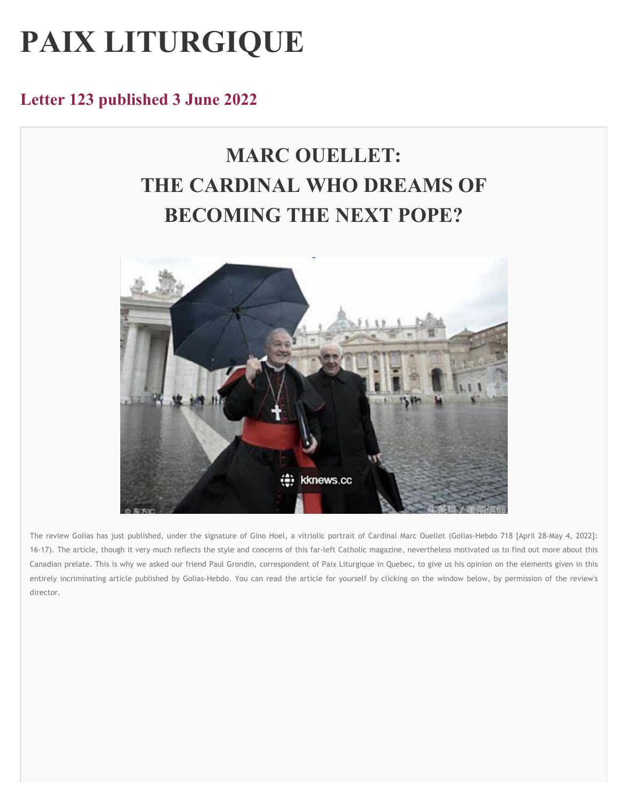# **PAIX LITURGIQUE**

### **Letter 123 published 3 June 2022**

## **MARC OUELLET: THE CARDINAL WHO DREAMS OF BECOMING THE NEXT POPE?**



The review Golias has just published, under the signature of Gino Hoel, a vitriolic portrait of Cardinal Marc Ouellet (Golias-Hebdo 718 [April 28-May 4, 2022]: 16-17). The article, though it very much reflects the style and concerns of this far-left Catholic magazine, nevertheless motivated us to find out more about this Canadian prelate. This is why we asked our friend Paul Grondin, correspondent of Paix Liturgique in Quebec, to give us his opinion on the elements given in this entirely incriminating article published by Golias-Hebdo. You can read the article for yourself by clicking on the window below, by permission of the review's **director.**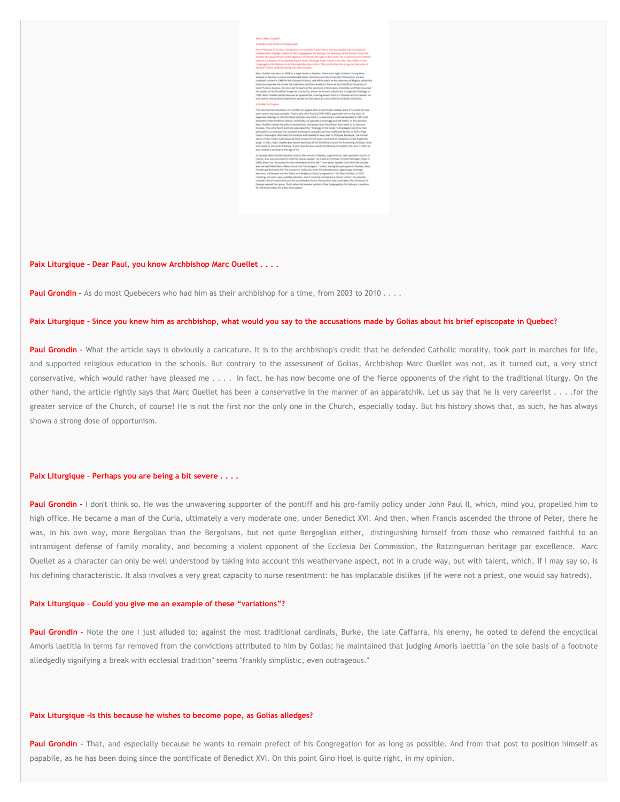

**Paix Liturgique – Dear Paul, you know Archbishop Marc Ouellet . . . .**

**Paul Grondin** - As do most Quebecers who had him as their archbishop for a time, from 2003 to 2010 . . . .

#### Paix Liturgique - Since you knew him as archbishop, what would you say to the accusations made by Golias about his brief episcopate in Quebec?

Paul Grondin - What the article says is obviously a caricature. It is to the archbishop's credit that he defended Catholic morality, took part in marches for life, and supported religious education in the schools. But contrary to the assessment of Golias, Archbishop Marc Ouellet was not, as it turned out, a very strict conservative, which would rather have pleased me . . . . In fact, he has now become one of the fierce opponents of the right to the traditional liturgy. On the other hand, the article rightly says that Marc Ouellet has been a conservative in the manner of an apparatchik. Let us say that he is very careerist . . . . for the greater service of the Church, of course! He is not the first nor the only one in the Church, especially today. But his history shows that, as such, he has always **shown a strong dose of opportunism.**

#### **Paix Liturgique – Perhaps you are being a bit severe . . . .**

Paul Grondin - I don't think so. He was the unwavering supporter of the pontiff and his pro-family policy under John Paul II, which, mind you, propelled him to high office. He became a man of the Curia, ultimately a very moderate one, under Benedict XVI. And then, when Francis ascended the throne of Peter, there he was, in his own way, more Bergolian than the Bergolians, but not quite Bergoglian either, distinguishing himself from those who remained faithful to an intransigent defense of family morality, and becoming a violent opponent of the Ecclesia Dei Commission, the Ratzinguerian heritage par excellence. Marc Ouellet as a character can only be well understood by taking into account this weathervane aspect, not in a crude way, but with talent, which, if I may say so, is his defining characteristic. It also involves a very great capacity to nurse resentment: he has implacable dislikes (if he were not a priest, one would say hatreds).

#### **Paix Liturgique – Could you give me an example of these "variations"?**

Paul Grondin - Note the one I just alluded to: against the most traditional cardinals, Burke, the late Caffarra, his enemy, he opted to defend the encyclical Amoris laetitia in terms far removed from the convictions attributed to him by Golias; he maintained that judging Amoris laetitia "on the sole basis of a footnote **alledgedly signifying a break with ecclesial tradition" seems "frankly simplistic, even outrageous."**

#### **Paix Liturgique –Is this because he wishes to become pope, as Golias alledges?**

Paul Grondin - That, and especially because he wants to remain prefect of his Congregation for as long as possible. And from that post to position himself as papabile, as he has been doing since the pontificate of Benedict XVI. On this point Gino Hoel is quite right, in my opinion.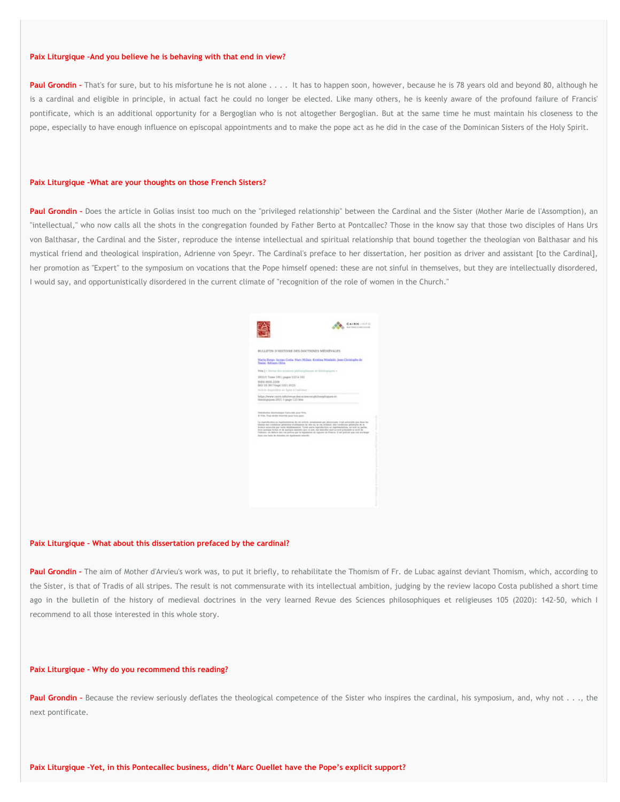#### **Paix Liturgique –And you believe he is behaving with that end in view?**

Paul Grondin - That's for sure, but to his misfortune he is not alone . . . . It has to happen soon, however, because he is 78 years old and beyond 80, although he is a cardinal and eligible in principle, in actual fact he could no longer be elected. Like many others, he is keenly aware of the profound failure of Francis' pontificate, which is an additional opportunity for a Bergoglian who is not altogether Bergoglian. But at the same time he must maintain his closeness to the pope, especially to have enough influence on episcopal appointments and to make the pope act as he did in the case of the Dominican Sisters of the Holy Spirit.

#### **Paix Liturgique –What are your thoughts on those French Sisters?**

Paul Grondin - Does the article in Golias insist too much on the "privileged relationship" between the Cardinal and the Sister (Mother Marie de l'Assomption), an "intellectual," who now calls all the shots in the congregation founded by Father Berto at Pontcallec? Those in the know say that those two disciples of Hans Urs von Balthasar, the Cardinal and the Sister, reproduce the intense intellectual and spiritual relationship that bound together the theologian von Balthasar and his mystical friend and theological inspiration, Adrienne von Speyr. The Cardinal's preface to her dissertation, her position as driver and assistant [to the Cardinal], her promotion as "Expert" to the symposium on vocations that the Pope himself opened: these are not sinful in themselves, but they are intellectually disordered, I would say, and opportunistically disordered in the current climate of "recognition of the role of women in the Church."



#### **Paix Liturgique – What about this dissertation prefaced by the cardinal?**

Paul Grondin - The aim of Mother d'Arvieu's work was, to put it briefly, to rehabilitate the Thomism of Fr. de Lubac against deviant Thomism, which, according to the Sister, is that of Tradis of all stripes. The result is not commensurate with its intellectual ambition, judging by the review lacopo Costa published a short time ago in the bulletin of the history of medieval doctrines in the very learned Revue des Sciences philosophiques et religieuses 105 (2020): 142-50, which I **recommend to all those interested in this whole story.**

#### **Paix Liturgique – Why do you recommend this reading?**

Paul Grondin - Because the review seriously deflates the theological competence of the Sister who inspires the cardinal, his symposium, and, why not . . ., the **next pontificate.**